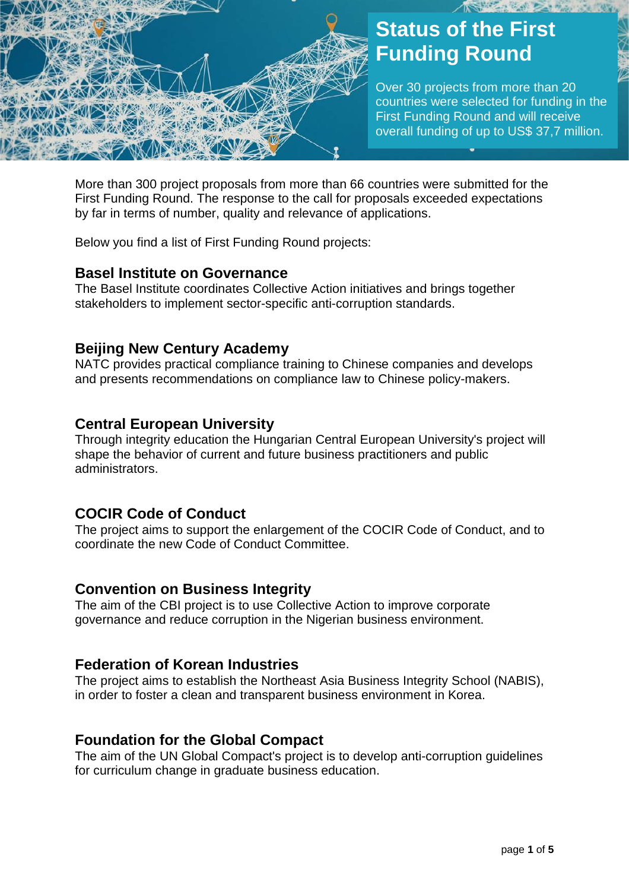

# **Status of the First Funding Round**

Over 30 projects from more than 20 countries were selected for funding in the First Funding Round and will receive overall funding of up to US\$ 37,7 million.

More than 300 project proposals from more than 66 countries were submitted for the First Funding Round. The response to the call for proposals exceeded expectations by far in terms of number, quality and relevance of applications.

Below you find a list of First Funding Round projects:

## **Basel Institute on Governance**

The Basel Institute coordinates Collective Action initiatives and brings together stakeholders to implement sector-specific anti-corruption standards.

## **Beijing New Century Academy**

NATC provides practical compliance training to Chinese companies and develops and presents recommendations on compliance law to Chinese policy-makers.

#### **Central European University**

Through integrity education the Hungarian Central European University's project will shape the behavior of current and future business practitioners and public administrators.

# **COCIR Code of Conduct**

The project aims to support the enlargement of the COCIR Code of Conduct, and to coordinate the new Code of Conduct Committee.

#### **Convention on Business Integrity**

The aim of the CBI project is to use Collective Action to improve corporate governance and reduce corruption in the Nigerian business environment.

#### **Federation of Korean Industries**

The project aims to establish the Northeast Asia Business Integrity School (NABIS), in order to foster a clean and transparent business environment in Korea.

#### **Foundation for the Global Compact**

The aim of the UN Global Compact's project is to develop anti-corruption guidelines for curriculum change in graduate business education.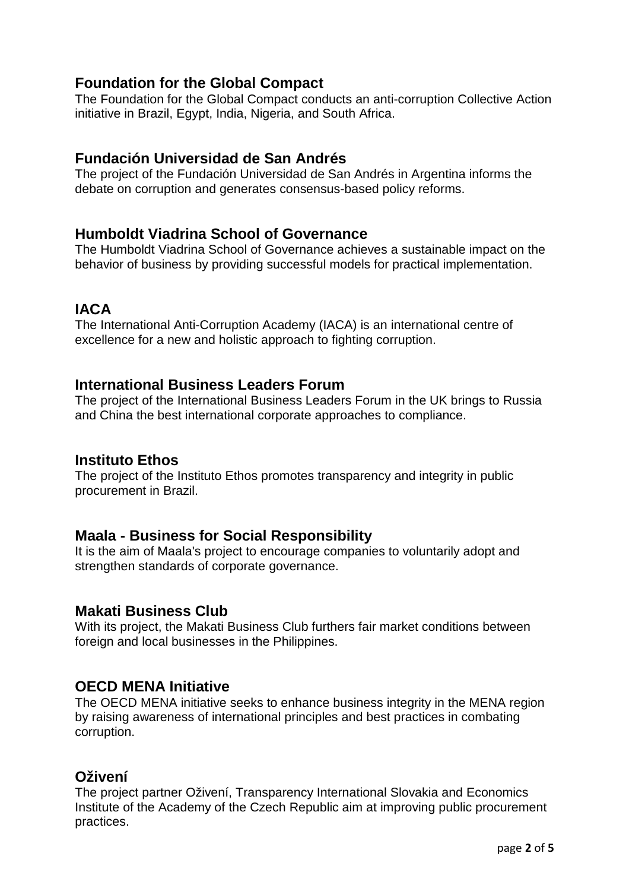# **Foundation for the Global Compact**

The Foundation for the Global Compact conducts an anti-corruption Collective Action initiative in Brazil, Egypt, India, Nigeria, and South Africa.

# **Fundación Universidad de San Andrés**

The project of the Fundación Universidad de San Andrés in Argentina informs the debate on corruption and generates consensus-based policy reforms.

# **Humboldt Viadrina School of Governance**

The Humboldt Viadrina School of Governance achieves a sustainable impact on the behavior of business by providing successful models for practical implementation.

# **IACA**

The International Anti-Corruption Academy (IACA) is an international centre of excellence for a new and holistic approach to fighting corruption.

## **International Business Leaders Forum**

The project of the International Business Leaders Forum in the UK brings to Russia and China the best international corporate approaches to compliance.

#### **Instituto Ethos**

The project of the Instituto Ethos promotes transparency and integrity in public procurement in Brazil.

#### **Maala - Business for Social Responsibility**

It is the aim of Maala's project to encourage companies to voluntarily adopt and strengthen standards of corporate governance.

#### **Makati Business Club**

With its project, the Makati Business Club furthers fair market conditions between foreign and local businesses in the Philippines.

# **OECD MENA Initiative**

The OECD MENA initiative seeks to enhance business integrity in the MENA region by raising awareness of international principles and best practices in combating corruption.

# **Oživení**

The project partner Oživení, Transparency International Slovakia and Economics Institute of the Academy of the Czech Republic aim at improving public procurement practices.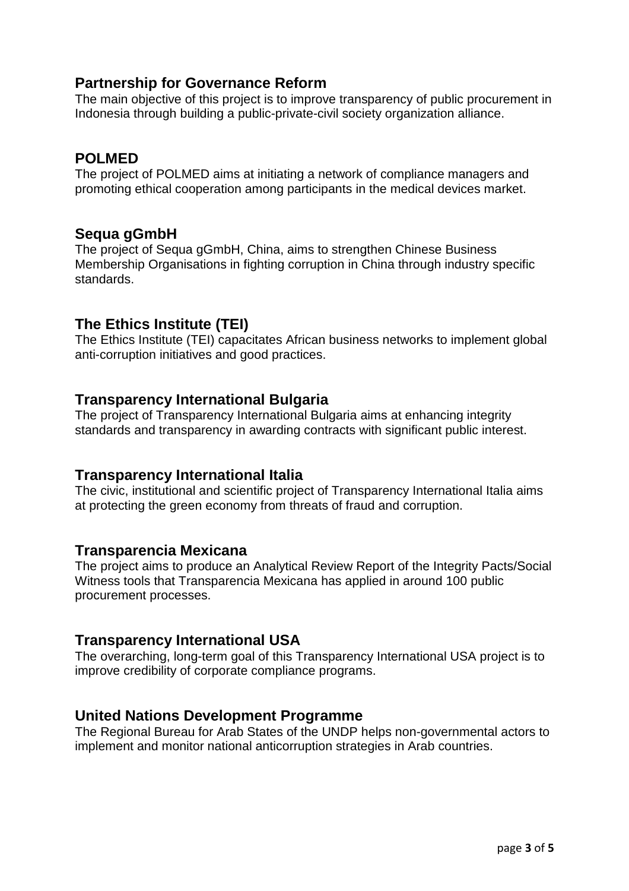# **Partnership for Governance Reform**

The main objective of this project is to improve transparency of public procurement in Indonesia through building a public-private-civil society organization alliance.

# **POLMED**

The project of POLMED aims at initiating a network of compliance managers and promoting ethical cooperation among participants in the medical devices market.

# **Sequa gGmbH**

The project of Sequa gGmbH, China, aims to strengthen Chinese Business Membership Organisations in fighting corruption in China through industry specific standards.

# **The Ethics Institute (TEI)**

The Ethics Institute (TEI) capacitates African business networks to implement global anti-corruption initiatives and good practices.

# **Transparency International Bulgaria**

The project of Transparency International Bulgaria aims at enhancing integrity standards and transparency in awarding contracts with significant public interest.

#### **Transparency International Italia**

The civic, institutional and scientific project of Transparency International Italia aims at protecting the green economy from threats of fraud and corruption.

#### **Transparencia Mexicana**

The project aims to produce an Analytical Review Report of the Integrity Pacts/Social Witness tools that Transparencia Mexicana has applied in around 100 public procurement processes.

# **Transparency International USA**

The overarching, long-term goal of this Transparency International USA project is to improve credibility of corporate compliance programs.

#### **United Nations Development Programme**

The Regional Bureau for Arab States of the UNDP helps non-governmental actors to implement and monitor national anticorruption strategies in Arab countries.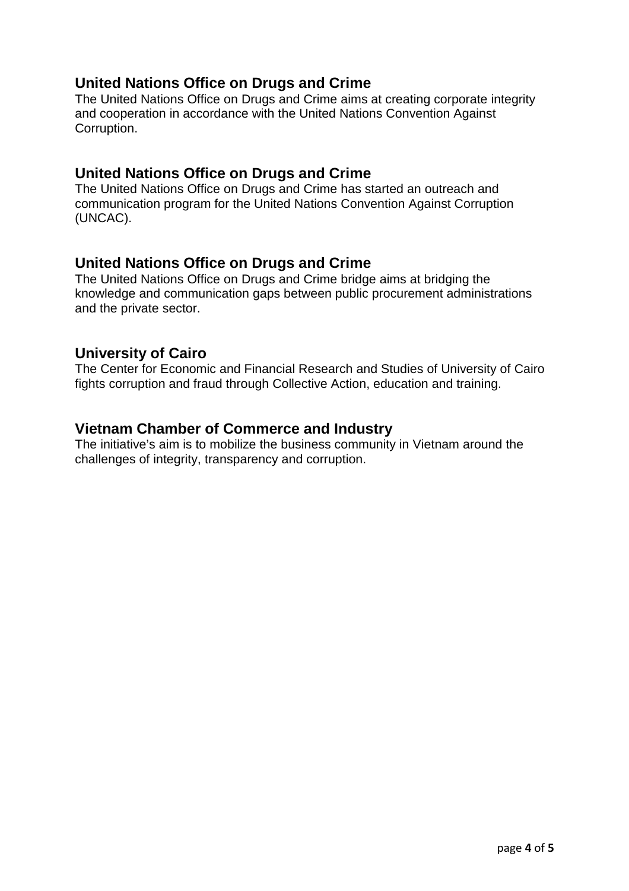# **United Nations Office on Drugs and Crime**

The United Nations Office on Drugs and Crime aims at creating corporate integrity and cooperation in accordance with the United Nations Convention Against Corruption.

# **United Nations Office on Drugs and Crime**

The United Nations Office on Drugs and Crime has started an outreach and communication program for the United Nations Convention Against Corruption (UNCAC).

#### **United Nations Office on Drugs and Crime**

The United Nations Office on Drugs and Crime bridge aims at bridging the knowledge and communication gaps between public procurement administrations and the private sector.

#### **University of Cairo**

The Center for Economic and Financial Research and Studies of University of Cairo fights corruption and fraud through Collective Action, education and training.

#### **Vietnam Chamber of Commerce and Industry**

The initiative's aim is to mobilize the business community in Vietnam around the challenges of integrity, transparency and corruption.